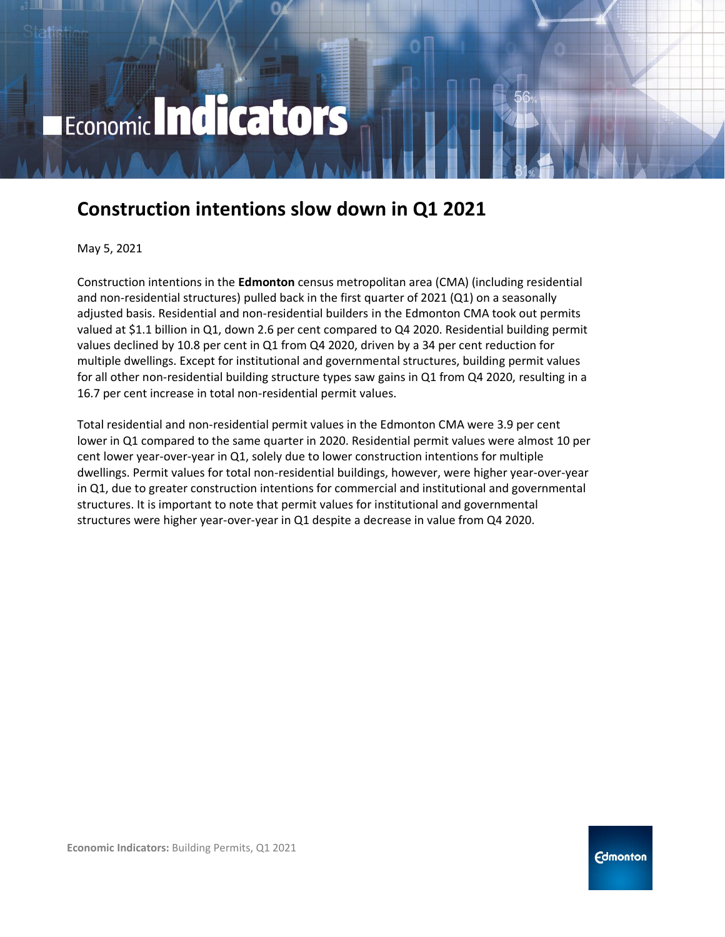# Economic Indicators

## **Construction intentions slow down in Q1 2021**

May 5, 2021

Construction intentions in the **Edmonton** census metropolitan area (CMA) (including residential and non-residential structures) pulled back in the first quarter of 2021 (Q1) on a seasonally adjusted basis. Residential and non-residential builders in the Edmonton CMA took out permits valued at \$1.1 billion in Q1, down 2.6 per cent compared to Q4 2020. Residential building permit values declined by 10.8 per cent in Q1 from Q4 2020, driven by a 34 per cent reduction for multiple dwellings. Except for institutional and governmental structures, building permit values for all other non-residential building structure types saw gains in Q1 from Q4 2020, resulting in a 16.7 per cent increase in total non-residential permit values.

Total residential and non-residential permit values in the Edmonton CMA were 3.9 per cent lower in Q1 compared to the same quarter in 2020. Residential permit values were almost 10 per cent lower year-over-year in Q1, solely due to lower construction intentions for multiple dwellings. Permit values for total non-residential buildings, however, were higher year-over-year in Q1, due to greater construction intentions for commercial and institutional and governmental structures. It is important to note that permit values for institutional and governmental structures were higher year-over-year in Q1 despite a decrease in value from Q4 2020.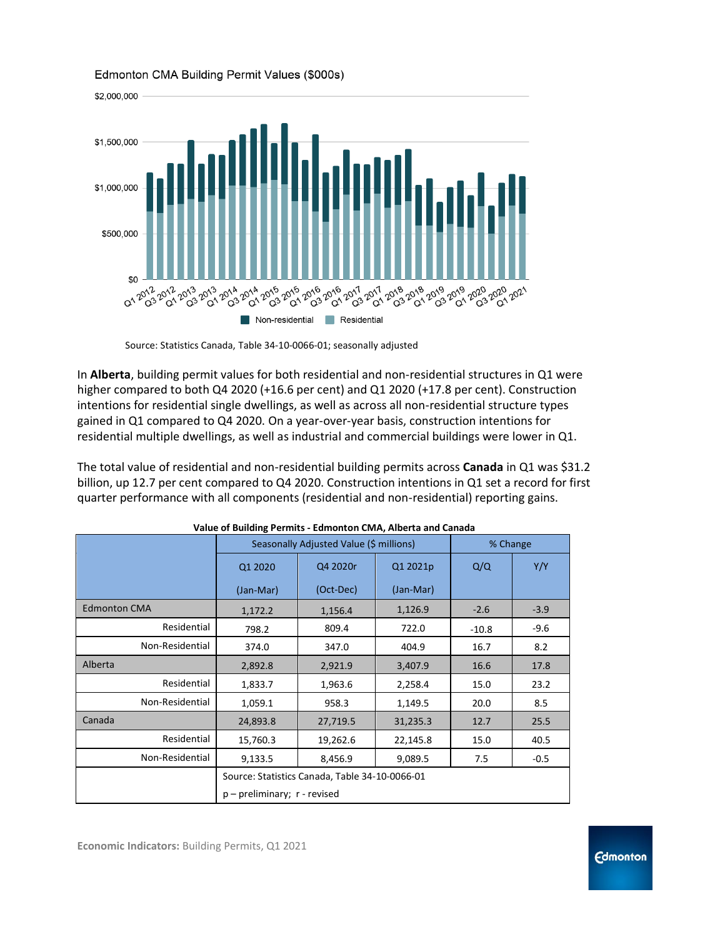

#### Edmonton CMA Building Permit Values (\$000s)

In **Alberta**, building permit values for both residential and non-residential structures in Q1 were higher compared to both Q4 2020 (+16.6 per cent) and Q1 2020 (+17.8 per cent). Construction intentions for residential single dwellings, as well as across all non-residential structure types gained in Q1 compared to Q4 2020. On a year-over-year basis, construction intentions for residential multiple dwellings, as well as industrial and commercial buildings were lower in Q1.

The total value of residential and non-residential building permits across **Canada** in Q1 was \$31.2 billion, up 12.7 per cent compared to Q4 2020. Construction intentions in Q1 set a record for first quarter performance with all components (residential and non-residential) reporting gains.

| value of Dunuing Ferning - Lumonton Civin, Aberta and Canada |                                                |           |           |          |        |  |
|--------------------------------------------------------------|------------------------------------------------|-----------|-----------|----------|--------|--|
|                                                              | Seasonally Adjusted Value (\$ millions)        |           |           | % Change |        |  |
|                                                              | Q1 2020                                        | Q4 2020r  | Q1 2021p  | Q/Q      | Y/Y    |  |
|                                                              | (Jan-Mar)                                      | (Oct-Dec) | (Jan-Mar) |          |        |  |
| <b>Edmonton CMA</b>                                          | 1,172.2                                        | 1,156.4   | 1,126.9   | $-2.6$   | $-3.9$ |  |
| Residential                                                  | 798.2                                          | 809.4     | 722.0     | $-10.8$  | $-9.6$ |  |
| Non-Residential                                              | 374.0                                          | 347.0     | 404.9     | 16.7     | 8.2    |  |
| Alberta                                                      | 2,892.8                                        | 2,921.9   | 3,407.9   | 16.6     | 17.8   |  |
| Residential                                                  | 1,833.7                                        | 1,963.6   | 2,258.4   | 15.0     | 23.2   |  |
| Non-Residential                                              | 1,059.1                                        | 958.3     | 1,149.5   | 20.0     | 8.5    |  |
| Canada                                                       | 24,893.8                                       | 27,719.5  | 31,235.3  | 12.7     | 25.5   |  |
| Residential                                                  | 15,760.3                                       | 19,262.6  | 22,145.8  | 15.0     | 40.5   |  |
| Non-Residential                                              | 9,133.5                                        | 8,456.9   | 9,089.5   | 7.5      | $-0.5$ |  |
|                                                              | Source: Statistics Canada, Table 34-10-0066-01 |           |           |          |        |  |
|                                                              | $p$ – preliminary; $r$ - revised               |           |           |          |        |  |

|  | Value of Building Permits - Edmonton CMA, Alberta and Canada |
|--|--------------------------------------------------------------|
|--|--------------------------------------------------------------|

Source: Statistics Canada, Table 34-10-0066-01; seasonally adjusted